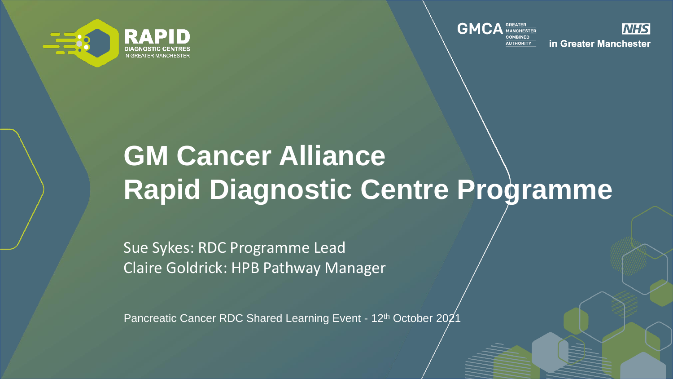



**NHS** in Greater Manchester

### **GM Cancer Alliance Rapid Diagnostic Centre Programme**

Sue Sykes: RDC Programme Lead Claire Goldrick: HPB Pathway Manager

Pancreatic Cancer RDC Shared Learning Event - 12<sup>th</sup> October 2021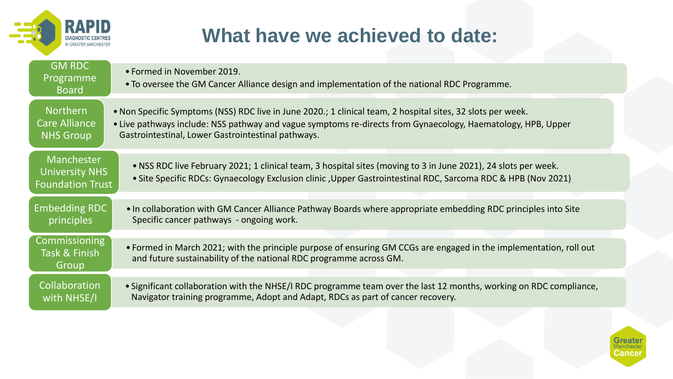

### **What have we achieved to date:**

| <b>GM RDC</b><br>Programme<br><b>Board</b>                     | • Formed in November 2019.<br>• To oversee the GM Cancer Alliance design and implementation of the national RDC Programme.                                                                                                                                                        |
|----------------------------------------------------------------|-----------------------------------------------------------------------------------------------------------------------------------------------------------------------------------------------------------------------------------------------------------------------------------|
| <b>Northern</b><br>Care Alliance<br><b>NHS Group</b>           | . Non Specific Symptoms (NSS) RDC live in June 2020.; 1 clinical team, 2 hospital sites, 32 slots per week.<br>• Live pathways include: NSS pathway and vague symptoms re-directs from Gynaecology, Haematology, HPB, Upper<br>Gastrointestinal, Lower Gastrointestinal pathways. |
| Manchester<br><b>University NHS</b><br><b>Foundation Trust</b> | • NSS RDC live February 2021; 1 clinical team, 3 hospital sites (moving to 3 in June 2021), 24 slots per week.<br>• Site Specific RDCs: Gynaecology Exclusion clinic , Upper Gastrointestinal RDC, Sarcoma RDC & HPB (Nov 2021)                                                   |
|                                                                |                                                                                                                                                                                                                                                                                   |
| <b>Embedding RDC</b><br>principles                             | . In collaboration with GM Cancer Alliance Pathway Boards where appropriate embedding RDC principles into Site<br>Specific cancer pathways - ongoing work.                                                                                                                        |
|                                                                |                                                                                                                                                                                                                                                                                   |
| Commissioning<br>Task & Finish<br>Group                        | • Formed in March 2021; with the principle purpose of ensuring GM CCGs are engaged in the implementation, roll out<br>and future sustainability of the national RDC programme across GM.                                                                                          |
|                                                                |                                                                                                                                                                                                                                                                                   |
| Collaboration<br>with NHSE/I                                   | • Significant collaboration with the NHSE/I RDC programme team over the last 12 months, working on RDC compliance,<br>Navigator training programme, Adopt and Adapt, RDCs as part of cancer recovery.                                                                             |

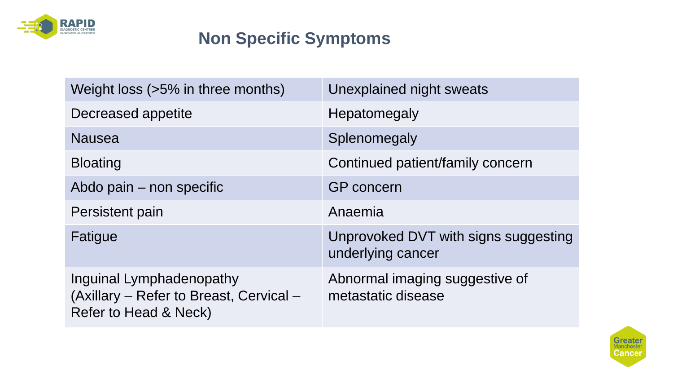

#### **Non Specific Symptoms**

| Weight loss (>5% in three months)                                                            | Unexplained night sweats                                  |
|----------------------------------------------------------------------------------------------|-----------------------------------------------------------|
| Decreased appetite                                                                           | Hepatomegaly                                              |
| <b>Nausea</b>                                                                                | Splenomegaly                                              |
| <b>Bloating</b>                                                                              | Continued patient/family concern                          |
| Abdo pain – non specific                                                                     | <b>GP</b> concern                                         |
| Persistent pain                                                                              | Anaemia                                                   |
| Fatigue                                                                                      | Unprovoked DVT with signs suggesting<br>underlying cancer |
| Inguinal Lymphadenopathy<br>(Axillary – Refer to Breast, Cervical –<br>Refer to Head & Neck) | Abnormal imaging suggestive of<br>metastatic disease      |

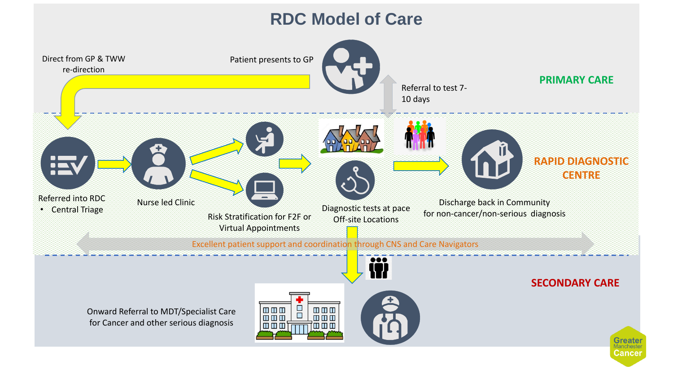#### **RDC Model of Care**

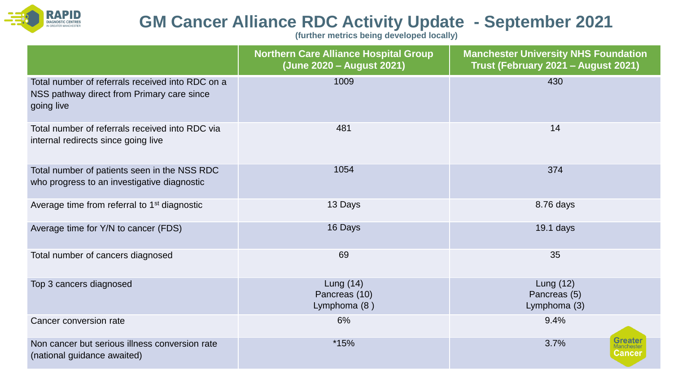

#### **GM Cancer Alliance RDC Activity Update - September 2021**

**(further metrics being developed locally)**

|                                                                                                              | <b>Northern Care Alliance Hospital Group</b><br>(June 2020 - August 2021) | <b>Manchester University NHS Foundation</b><br>Trust (February 2021 - August 2021) |
|--------------------------------------------------------------------------------------------------------------|---------------------------------------------------------------------------|------------------------------------------------------------------------------------|
| Total number of referrals received into RDC on a<br>NSS pathway direct from Primary care since<br>going live | 1009                                                                      | 430                                                                                |
| Total number of referrals received into RDC via<br>internal redirects since going live                       | 481                                                                       | 14                                                                                 |
| Total number of patients seen in the NSS RDC<br>who progress to an investigative diagnostic                  | 1054                                                                      | 374                                                                                |
| Average time from referral to 1 <sup>st</sup> diagnostic                                                     | 13 Days                                                                   | 8.76 days                                                                          |
| Average time for Y/N to cancer (FDS)                                                                         | 16 Days                                                                   | $19.1$ days                                                                        |
| Total number of cancers diagnosed                                                                            | 69                                                                        | 35                                                                                 |
| Top 3 cancers diagnosed                                                                                      | Lung $(14)$<br>Pancreas (10)<br>Lymphoma (8)                              | Lung $(12)$<br>Pancreas (5)<br>Lymphoma (3)                                        |
| Cancer conversion rate                                                                                       | 6%                                                                        | 9.4%                                                                               |
| Non cancer but serious illness conversion rate<br>(national guidance awaited)                                | $*15%$                                                                    | Greatel<br>3.7%<br>Cancer                                                          |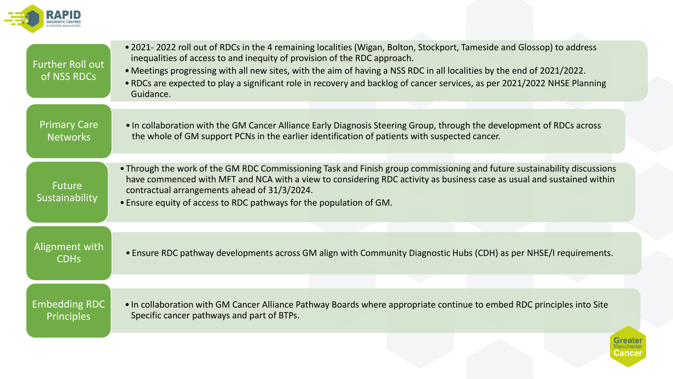

| <b>Further Roll out</b><br>of NSS RDCs    | • 2021-2022 roll out of RDCs in the 4 remaining localities (Wigan, Bolton, Stockport, Tameside and Glossop) to address<br>inequalities of access to and inequity of provision of the RDC approach.<br>• Meetings progressing with all new sites, with the aim of having a NSS RDC in all localities by the end of 2021/2022.<br>. RDCs are expected to play a significant role in recovery and backlog of cancer services, as per 2021/2022 NHSE Planning<br>Guidance. |
|-------------------------------------------|------------------------------------------------------------------------------------------------------------------------------------------------------------------------------------------------------------------------------------------------------------------------------------------------------------------------------------------------------------------------------------------------------------------------------------------------------------------------|
| <b>Primary Care</b><br><b>Networks</b>    | • In collaboration with the GM Cancer Alliance Early Diagnosis Steering Group, through the development of RDCs across<br>the whole of GM support PCNs in the earlier identification of patients with suspected cancer.                                                                                                                                                                                                                                                 |
| <b>Future</b><br>Sustainability           | • Through the work of the GM RDC Commissioning Task and Finish group commissioning and future sustainability discussions<br>have commenced with MFT and NCA with a view to considering RDC activity as business case as usual and sustained within<br>contractual arrangements ahead of 31/3/2024.<br>• Ensure equity of access to RDC pathways for the population of GM.                                                                                              |
|                                           |                                                                                                                                                                                                                                                                                                                                                                                                                                                                        |
| Alignment with<br><b>CDHs</b>             | • Ensure RDC pathway developments across GM align with Community Diagnostic Hubs (CDH) as per NHSE/I requirements.                                                                                                                                                                                                                                                                                                                                                     |
|                                           |                                                                                                                                                                                                                                                                                                                                                                                                                                                                        |
| <b>Embedding RDC</b><br><b>Principles</b> | . In collaboration with GM Cancer Alliance Pathway Boards where appropriate continue to embed RDC principles into Site<br>Specific cancer pathways and part of BTPs.                                                                                                                                                                                                                                                                                                   |
|                                           | Cancer                                                                                                                                                                                                                                                                                                                                                                                                                                                                 |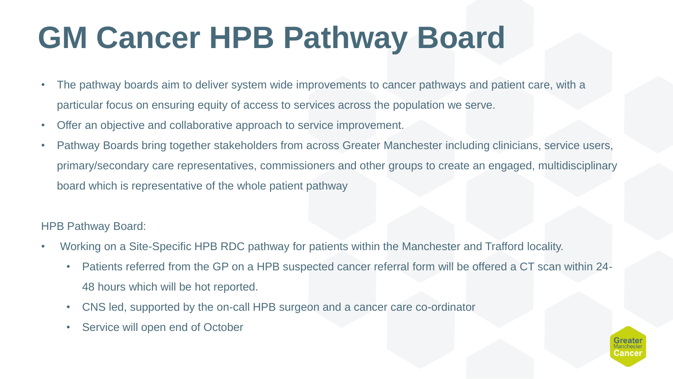# **GM Cancer HPB Pathway Board**

- The pathway boards aim to deliver system wide improvements to cancer pathways and patient care, with a particular focus on ensuring equity of access to services across the population we serve.
- Offer an objective and collaborative approach to service improvement.
- Pathway Boards bring together stakeholders from across Greater Manchester including clinicians, service users, primary/secondary care representatives, commissioners and other groups to create an engaged, multidisciplinary board which is representative of the whole patient pathway

#### HPB Pathway Board:

- Working on a Site-Specific HPB RDC pathway for patients within the Manchester and Trafford locality.
	- Patients referred from the GP on a HPB suspected cancer referral form will be offered a CT scan within 24- 48 hours which will be hot reported.
	- CNS led, supported by the on-call HPB surgeon and a cancer care co-ordinator
	- Service will open end of October